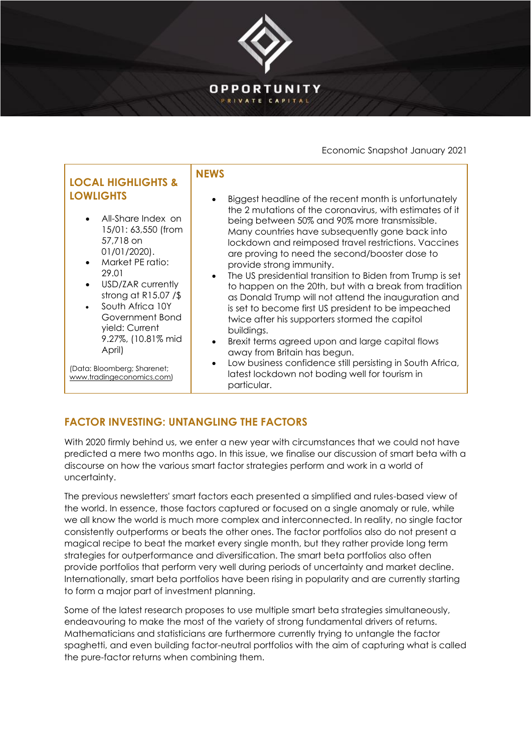

Economic Snapshot January 2021

| yield: Current<br>buildings.<br>9.27%, (10.81% mid<br>Brexit terms agreed upon and large capital flows<br>$\bullet$<br>April)<br>away from Britain has begun.<br>Low business confidence still persisting in South Africa,<br>$\bullet$<br>(Data: Bloomberg; Sharenet;<br>latest lockdown not boding well for tourism in<br>www.tradingeconomics.com)<br>particular. | <b>LOCAL HIGHLIGHTS &amp;</b><br><b>LOWLIGHTS</b><br>All-Share Index on<br>15/01: 63,550 (from<br>57,718 on<br>$01/01/2020$ .<br>Market PE ratio:<br>29.01<br>USD/ZAR currently<br>strong at $R15.07 /$ \$<br>South Africa 10Y<br>Government Bond | <b>NFWS</b><br>Biggest headline of the recent month is unfortunately<br>the 2 mutations of the coronavirus, with estimates of it<br>being between 50% and 90% more transmissible.<br>Many countries have subsequently gone back into<br>lockdown and reimposed travel restrictions. Vaccines<br>are proving to need the second/booster dose to<br>provide strong immunity.<br>The US presidential transition to Biden from Trump is set<br>$\bullet$<br>to happen on the 20th, but with a break from tradition<br>as Donald Trump will not attend the inauguration and<br>is set to become first US president to be impeached<br>twice after his supporters stormed the capitol |
|----------------------------------------------------------------------------------------------------------------------------------------------------------------------------------------------------------------------------------------------------------------------------------------------------------------------------------------------------------------------|---------------------------------------------------------------------------------------------------------------------------------------------------------------------------------------------------------------------------------------------------|---------------------------------------------------------------------------------------------------------------------------------------------------------------------------------------------------------------------------------------------------------------------------------------------------------------------------------------------------------------------------------------------------------------------------------------------------------------------------------------------------------------------------------------------------------------------------------------------------------------------------------------------------------------------------------|
|----------------------------------------------------------------------------------------------------------------------------------------------------------------------------------------------------------------------------------------------------------------------------------------------------------------------------------------------------------------------|---------------------------------------------------------------------------------------------------------------------------------------------------------------------------------------------------------------------------------------------------|---------------------------------------------------------------------------------------------------------------------------------------------------------------------------------------------------------------------------------------------------------------------------------------------------------------------------------------------------------------------------------------------------------------------------------------------------------------------------------------------------------------------------------------------------------------------------------------------------------------------------------------------------------------------------------|

## **FACTOR INVESTING: UNTANGLING THE FACTORS**

With 2020 firmly behind us, we enter a new year with circumstances that we could not have predicted a mere two months ago. In this issue, we finalise our discussion of smart beta with a discourse on how the various smart factor strategies perform and work in a world of uncertainty.

The previous newsletters' smart factors each presented a simplified and rules-based view of the world. In essence, those factors captured or focused on a single anomaly or rule, while we all know the world is much more complex and interconnected. In reality, no single factor consistently outperforms or beats the other ones. The factor portfolios also do not present a magical recipe to beat the market every single month, but they rather provide long term strategies for outperformance and diversification. The smart beta portfolios also often provide portfolios that perform very well during periods of uncertainty and market decline. Internationally, smart beta portfolios have been rising in popularity and are currently starting to form a major part of investment planning.

Some of the latest research proposes to use multiple smart beta strategies simultaneously, endeavouring to make the most of the variety of strong fundamental drivers of returns. Mathematicians and statisticians are furthermore currently trying to untangle the factor spaghetti, and even building factor-neutral portfolios with the aim of capturing what is called the pure-factor returns when combining them.